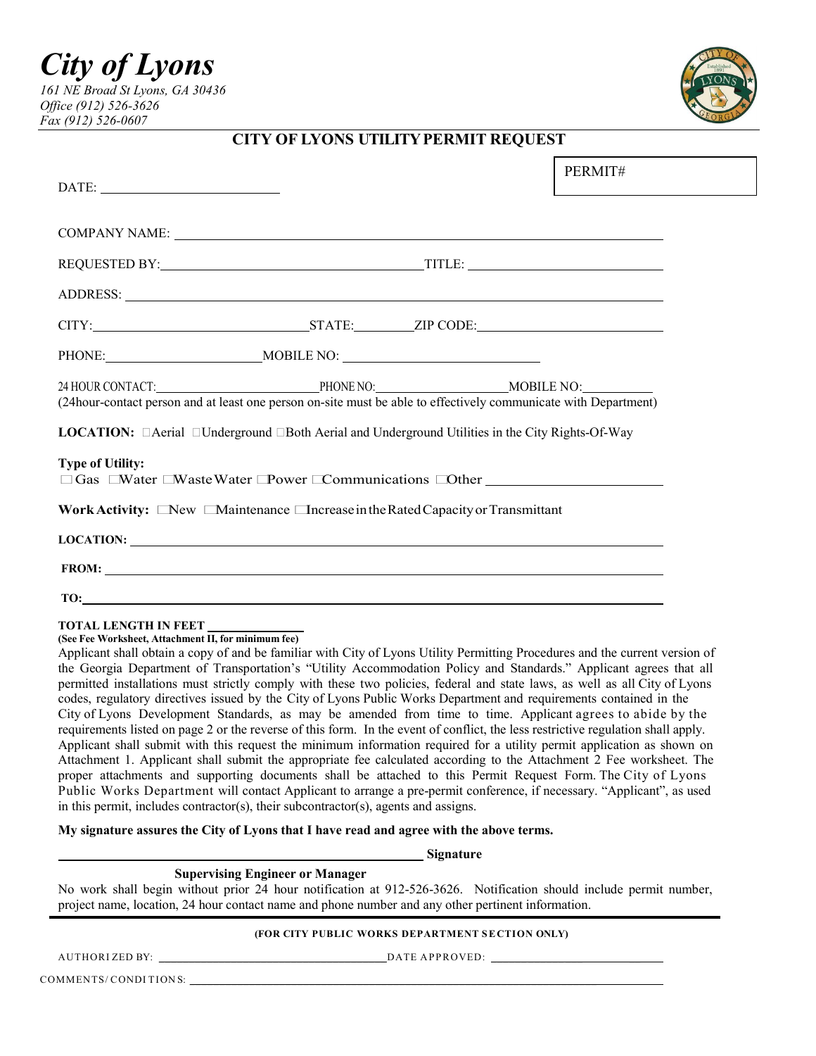*City of Lyons 161 NE Broad St Lyons, GA 30436 Office (912) 526-3626 Fax (912) 526-0607*



# **CITY OF LYONS UTILITY PERMIT REQUEST**

| $\begin{tabular}{c} \bf{DATE:} \end{tabular}$                                                                                                                                                                                  |  | PERMIT# |
|--------------------------------------------------------------------------------------------------------------------------------------------------------------------------------------------------------------------------------|--|---------|
|                                                                                                                                                                                                                                |  |         |
| REQUESTED BY: TITLE: TITLE:                                                                                                                                                                                                    |  |         |
|                                                                                                                                                                                                                                |  |         |
| CITY: STATE: ZIP CODE:                                                                                                                                                                                                         |  |         |
|                                                                                                                                                                                                                                |  |         |
| 24 HOUR CONTACT:<br>24 HOUR CONTACT: DHOURE NO: MOBILE NO: MOBILE NO: MOBILE NO: (24 hour-contact person and at least one person on-site must be able to effectively communicate with Department)                              |  |         |
| <b>LOCATION:</b> $\Box$ Aerial $\Box$ Underground $\Box$ Both Aerial and Underground Utilities in the City Rights-Of-Way                                                                                                       |  |         |
| <b>Type of Utility:</b><br>$\Box$ Gas $\Box$ Water $\Box$ Waste Water $\Box$ Power $\Box$ Communications $\Box$ Other                                                                                                          |  |         |
| Work Activity: New Maintenance Increase in the Rated Capacity or Transmittant                                                                                                                                                  |  |         |
| LOCATION:                                                                                                                                                                                                                      |  |         |
| FROM: $\qquad \qquad$                                                                                                                                                                                                          |  |         |
| TO: The contract of the contract of the contract of the contract of the contract of the contract of the contract of the contract of the contract of the contract of the contract of the contract of the contract of the contra |  |         |

#### **TOTAL LENGTH IN FEET**

## **(See Fee Worksheet, Attachment II, for minimum fee)**

Applicant shall obtain a copy of and be familiar with City of Lyons Utility Permitting Procedures and the current version of the Georgia Department of Transportation's "Utility Accommodation Policy and Standards." Applicant agrees that all permitted installations must strictly comply with these two policies, federal and state laws, as well as all City of Lyons codes, regulatory directives issued by the City of Lyons Public Works Department and requirements contained in the City of Lyons Development Standards, as may be amended from time to time. Applicant agrees to abide by the requirements listed on page 2 or the reverse of this form. In the event of conflict, the less restrictive regulation shall apply. Applicant shall submit with this request the minimum information required for a utility permit application as shown on Attachment 1. Applicant shall submit the appropriate fee calculated according to the Attachment 2 Fee worksheet. The proper attachments and supporting documents shall be attached to this Permit Request Form. The City of Lyons Public Works Department will contact Applicant to arrange a pre-permit conference, if necessary. "Applicant", as used in this permit, includes contractor(s), their subcontractor(s), agents and assigns.

#### **My signature assures the City of Lyons that I have read and agree with the above terms.**

#### **Signature**

## **Supervising Engineer or Manager**

No work shall begin without prior 24 hour notification at 912-526-3626. Notification should include permit number, project name, location, 24 hour contact name and phone number and any other pertinent information.

#### **(FOR CITY PUBLIC WORKS DEPARTMENT SECTION ONLY)**

AUTHORI ZED BY: \_ \_\_\_\_\_\_\_\_\_\_\_\_\_\_\_\_\_\_\_\_\_\_\_\_\_\_\_\_\_\_\_\_\_\_\_\_\_DATE APPROVED: \_\_\_\_\_\_ \_\_\_\_\_\_ \_\_\_ \_\_

COMMENTS/ CONDI TION S: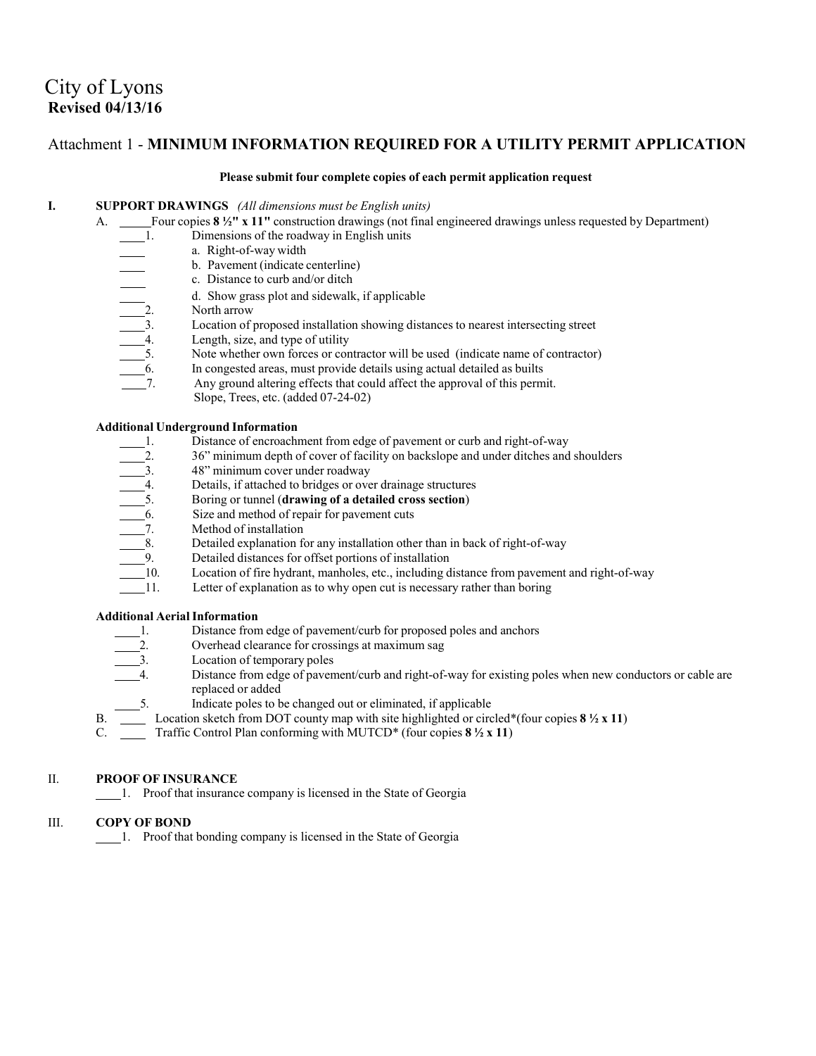# City of Lyons **Revised 04/13/16**

# Attachment 1 - **MINIMUM INFORMATION REQUIRED FOR A UTILITY PERMIT APPLICATION**

#### **Please submit four complete copies of each permit application request**

### **I. SUPPORT DRAWINGS** *(All dimensions must be English units)*

A. Four copies **8 ½" x 11"** construction drawings (not final engineered drawings unless requested by Department)

- - a. Right-of-way width
- b. Pavement (indicate centerline)
	- c. Distance to curb and/or ditch
- d. Show grass plot and sidewalk, if applicable
- North arrow
	- Location of proposed installation showing distances to nearest intersecting street
- Length, size, and type of utility
- Note whether own forces or contractor will be used (indicate name of contractor)
- 1. Dimensions of the roadway in English units<br>
a. Right-of-way width<br>
b. Pavement (indicate centerline)<br>
c. Distance to curb and/or ditch<br>
d. Show grass plot and sidewalk, if applicat<br>
2. North arrow<br>
3. Location of propos In congested areas, must provide details using actual detailed as builts
	- Any ground altering effects that could affect the approval of this permit.
		- Slope, Trees, etc. (added 07-24-02)

#### **Additional Underground Information**

- 
- 36" minimum depth of cover of facility on backslope and under ditches and shoulders
- 48" minimum cover under roadway
- Details, if attached to bridges or over drainage structures
- 5. Boring or tunnel (**drawing of a detailed cross section**)
- Size and method of repair for pavement cuts
- Method of installation
- Detailed explanation for any installation other than in back of right-of-way
- Detailed distances for offset portions of installation
- 1. Distance of encroachment from edge of pavement or curb and right-of-way<br>
2. 36" minimum depth of cover of facility on backslope and under ditches and<br>
3. 48" minimum cover under roadway<br>
4. Details, if attached to bridg Location of fire hydrant, manholes, etc., including distance from pavement and right-of-way
	- Letter of explanation as to why open cut is necessary rather than boring

### **Additional AerialInformation**

- 1. Distance from edge of pavement/curb for proposed poles and anchors
- 2. Overhead clearance for crossings at maximum sag<br>1. Location of temporary poles
- $\frac{3}{4}$  Location of temporary poles
- Distance from edge of pavement/curb and right-of-way for existing poles when new conductors or cable are replaced or added
- 5. Indicate poles to be changed out or eliminated, if applicable
- B. Location sketch from DOT county map with site highlighted or circled\*(four copies **8 ½ x 11**)
- C. Traffic Control Plan conforming with MUTCD\* (four copies **8 ½ x 11**)

#### II. **PROOF OF INSURANCE**

1. Proof that insurance company is licensed in the State of Georgia

#### III. **COPY OF BOND**

1. Proof that bonding company is licensed in the State of Georgia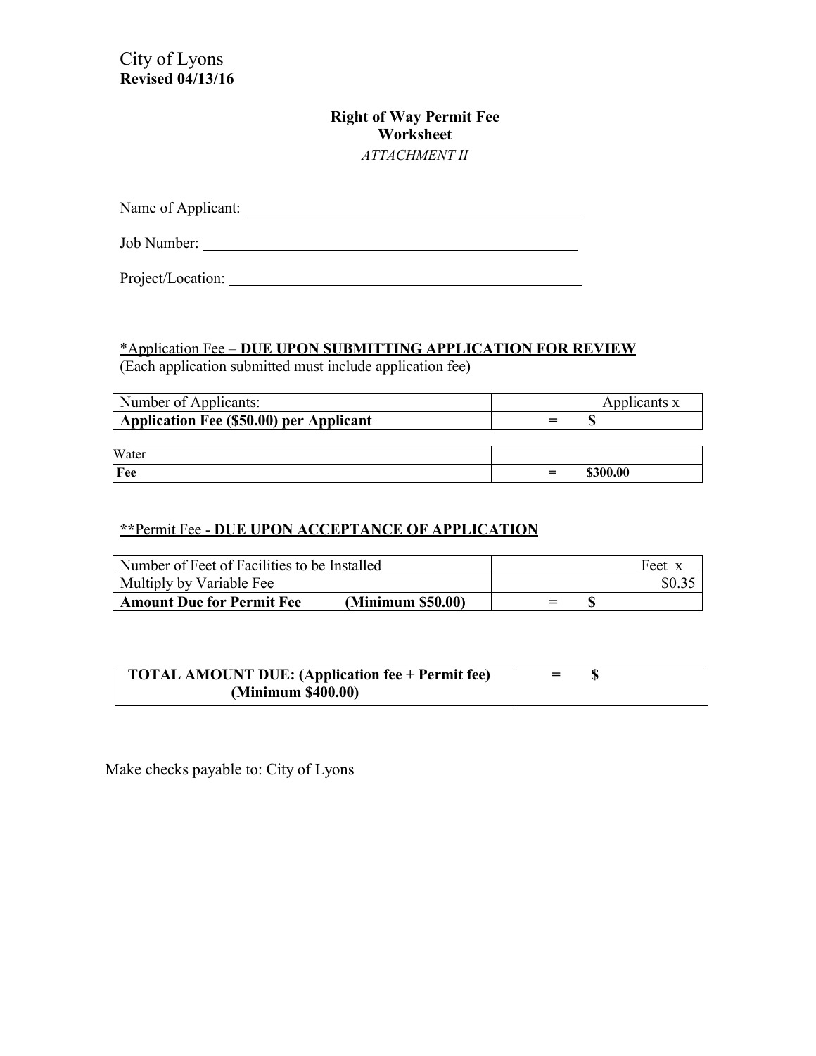City of Lyons **Revised 04/13/16**

# **Right of Way Permit Fee Worksheet** *ATTACHMENT II*

| Name of Applicant: |  |  |
|--------------------|--|--|
|                    |  |  |
| Job Number:        |  |  |

Project/Location:

# \*Application Fee – **DUE UPON SUBMITTING APPLICATION FOR REVIEW**

(Each application submitted must include application fee)

| Number of Applicants:                   |  | Applicants x |
|-----------------------------------------|--|--------------|
| Application Fee (\$50.00) per Applicant |  |              |
|                                         |  |              |
| Water                                   |  |              |
| Fee                                     |  | \$300.00     |

# **\*\***Permit Fee - **DUE UPON ACCEPTANCE OF APPLICATION**

| Number of Feet of Facilities to be Installed          | Feet x |
|-------------------------------------------------------|--------|
| Multiply by Variable Fee                              |        |
| <b>Amount Due for Permit Fee</b><br>(Minimum \$50.00) | $=$    |

| <b>TOTAL AMOUNT DUE: (Application fee + Permit fee)</b> | $=$ |  |
|---------------------------------------------------------|-----|--|
| (Minimum \$400.00)                                      |     |  |

Make checks payable to: City of Lyons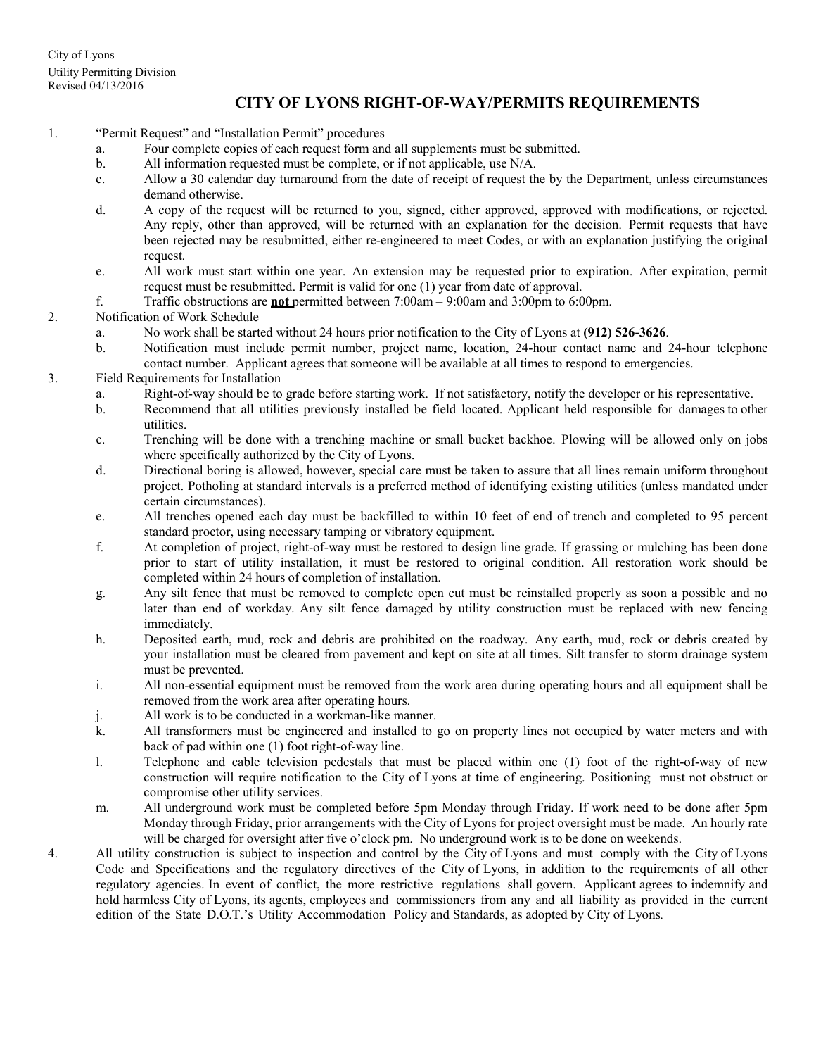# **CITY OF LYONS RIGHT-OF-WAY/PERMITS REQUIREMENTS**

- 1. "Permit Request" and "Installation Permit" procedures
	- a. Four complete copies of each request form and all supplements must be submitted.
	- b. All information requested must be complete, or if not applicable, use N/A.
	- c. Allow a 30 calendar day turnaround from the date of receipt of request the by the Department, unless circumstances demand otherwise.
	- d. A copy of the request will be returned to you, signed, either approved, approved with modifications, or rejected. Any reply, other than approved, will be returned with an explanation for the decision. Permit requests that have been rejected may be resubmitted, either re-engineered to meet Codes, or with an explanation justifying the original request.
	- e. All work must start within one year. An extension may be requested prior to expiration. After expiration, permit request must be resubmitted. Permit is valid for one (1) year from date of approval.
	- f. Traffic obstructions are **not** permitted between 7:00am 9:00am and 3:00pm to 6:00pm.
- 2. Notification of Work Schedule
	- a. No work shall be started without 24 hours prior notification to the City of Lyons at **(912) 526-3626**.
	- b. Notification must include permit number, project name, location, 24-hour contact name and 24-hour telephone contact number. Applicant agrees that someone will be available at all times to respond to emergencies.
- 3. Field Requirements for Installation
	- a. Right-of-way should be to grade before starting work. If not satisfactory, notify the developer or his representative.
	- b. Recommend that all utilities previously installed be field located. Applicant held responsible for damages to other utilities.
	- c. Trenching will be done with a trenching machine or small bucket backhoe. Plowing will be allowed only on jobs where specifically authorized by the City of Lyons.
	- d. Directional boring is allowed, however, special care must be taken to assure that all lines remain uniform throughout project. Potholing at standard intervals is a preferred method of identifying existing utilities (unless mandated under certain circumstances).
	- e. All trenches opened each day must be backfilled to within 10 feet of end of trench and completed to 95 percent standard proctor, using necessary tamping or vibratory equipment.
	- f. At completion of project, right-of-way must be restored to design line grade. If grassing or mulching has been done prior to start of utility installation, it must be restored to original condition. All restoration work should be completed within 24 hours of completion of installation.
	- g. Any silt fence that must be removed to complete open cut must be reinstalled properly as soon a possible and no later than end of workday. Any silt fence damaged by utility construction must be replaced with new fencing immediately.
	- h. Deposited earth, mud, rock and debris are prohibited on the roadway. Any earth, mud, rock or debris created by your installation must be cleared from pavement and kept on site at all times. Silt transfer to storm drainage system must be prevented.
	- i. All non-essential equipment must be removed from the work area during operating hours and all equipment shall be removed from the work area after operating hours.
	- j. All work is to be conducted in a workman-like manner.
	- k. All transformers must be engineered and installed to go on property lines not occupied by water meters and with back of pad within one (1) foot right-of-way line.
	- l. Telephone and cable television pedestals that must be placed within one (1) foot of the right-of-way of new construction will require notification to the City of Lyons at time of engineering. Positioning must not obstruct or compromise other utility services.
	- m. All underground work must be completed before 5pm Monday through Friday. If work need to be done after 5pm Monday through Friday, prior arrangements with the City of Lyons for project oversight must be made. An hourly rate will be charged for oversight after five o'clock pm. No underground work is to be done on weekends.
- 4. All utility construction is subject to inspection and control by the City of Lyons and must comply with the City of Lyons Code and Specifications and the regulatory directives of the City of Lyons, in addition to the requirements of all other regulatory agencies. In event of conflict, the more restrictive regulations shall govern. Applicant agrees to indemnify and hold harmless City of Lyons, its agents, employees and commissioners from any and all liability as provided in the current edition of the State D.O.T.'s Utility Accommodation Policy and Standards, as adopted by City of Lyons.